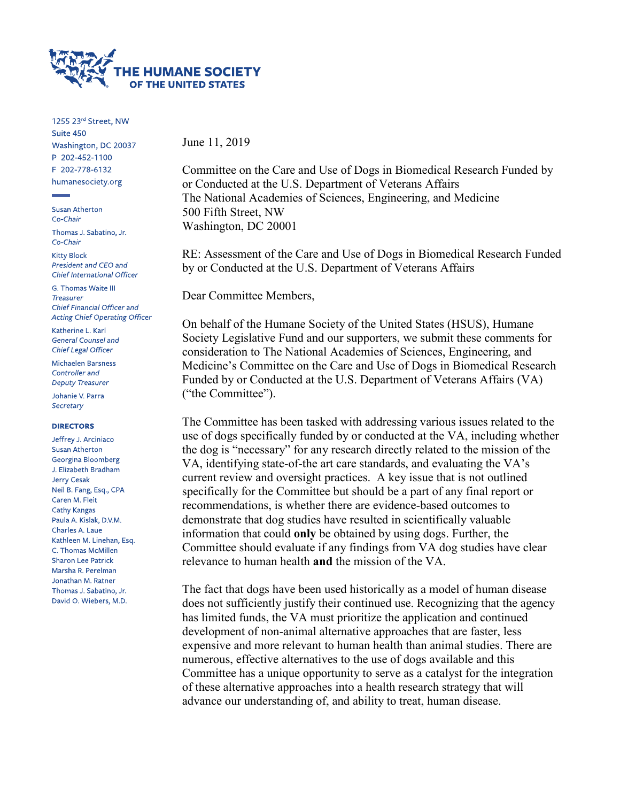

1255 23rd Street, NW Suite 450 Washington, DC 20037 P 202-452-1100 F 202-778-6132 humanesociety.org

**Susan Atherton** Co-Chair

Thomas J. Sabatino, Jr. Co-Chair

**Kitty Block** President and CEO and Chief International Officer

G. Thomas Waite III **Treasurer** Chief Financial Officer and **Acting Chief Operating Officer** 

Katherine L. Karl **General Counsel and** Chief Legal Officer

Michaelen Barsness Controller and **Deputy Treasurer** 

Johanie V. Parra Secretary

#### **DIRECTORS**

Jeffrey J. Arciniaco **Susan Atherton** Georgina Bloomberg J. Elizabeth Bradham Jerry Cesak Neil B. Fang, Esq., CPA Caren M. Fleit Cathy Kangas Paula A. Kislak, D.V.M. Charles A. Laue Kathleen M. Linehan, Esq. C. Thomas McMillen **Sharon Lee Patrick** Marsha R. Perelman Jonathan M. Ratner Thomas J. Sabatino, Jr. David O. Wiebers, M.D.

June 11, 2019

Committee on the Care and Use of Dogs in Biomedical Research Funded by or Conducted at the U.S. Department of Veterans Affairs The National Academies of Sciences, Engineering, and Medicine 500 Fifth Street, NW Washington, DC 20001

RE: Assessment of the Care and Use of Dogs in Biomedical Research Funded by or Conducted at the U.S. Department of Veterans Affairs

Dear Committee Members,

On behalf of the Humane Society of the United States (HSUS), Humane Society Legislative Fund and our supporters, we submit these comments for consideration to The National Academies of Sciences, Engineering, and Medicine's Committee on the Care and Use of Dogs in Biomedical Research Funded by or Conducted at the U.S. Department of Veterans Affairs (VA) ("the Committee").

The Committee has been tasked with addressing various issues related to the use of dogs specifically funded by or conducted at the VA, including whether the dog is "necessary" for any research directly related to the mission of the VA, identifying state-of-the art care standards, and evaluating the VA's current review and oversight practices. A key issue that is not outlined specifically for the Committee but should be a part of any final report or recommendations, is whether there are evidence-based outcomes to demonstrate that dog studies have resulted in scientifically valuable information that could **only** be obtained by using dogs. Further, the Committee should evaluate if any findings from VA dog studies have clear relevance to human health **and** the mission of the VA.

The fact that dogs have been used historically as a model of human disease does not sufficiently justify their continued use. Recognizing that the agency has limited funds, the VA must prioritize the application and continued development of non-animal alternative approaches that are faster, less expensive and more relevant to human health than animal studies. There are numerous, effective alternatives to the use of dogs available and this Committee has a unique opportunity to serve as a catalyst for the integration of these alternative approaches into a health research strategy that will advance our understanding of, and ability to treat, human disease.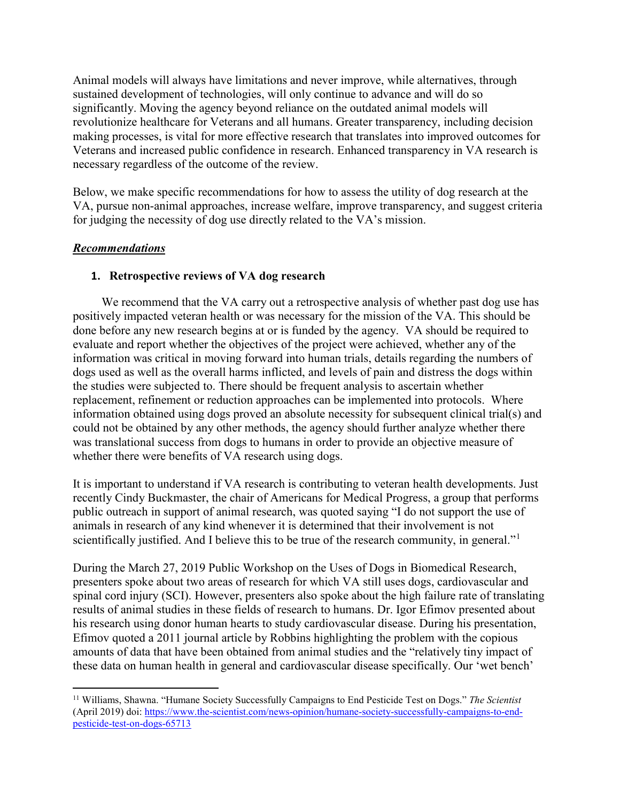Animal models will always have limitations and never improve, while alternatives, through sustained development of technologies, will only continue to advance and will do so significantly. Moving the agency beyond reliance on the outdated animal models will revolutionize healthcare for Veterans and all humans. Greater transparency, including decision making processes, is vital for more effective research that translates into improved outcomes for Veterans and increased public confidence in research. Enhanced transparency in VA research is necessary regardless of the outcome of the review.

Below, we make specific recommendations for how to assess the utility of dog research at the VA, pursue non-animal approaches, increase welfare, improve transparency, and suggest criteria for judging the necessity of dog use directly related to the VA's mission.

## *Recommendations*

 $\overline{a}$ 

## **1. Retrospective reviews of VA dog research**

We recommend that the VA carry out a retrospective analysis of whether past dog use has positively impacted veteran health or was necessary for the mission of the VA. This should be done before any new research begins at or is funded by the agency. VA should be required to evaluate and report whether the objectives of the project were achieved, whether any of the information was critical in moving forward into human trials, details regarding the numbers of dogs used as well as the overall harms inflicted, and levels of pain and distress the dogs within the studies were subjected to. There should be frequent analysis to ascertain whether replacement, refinement or reduction approaches can be implemented into protocols. Where information obtained using dogs proved an absolute necessity for subsequent clinical trial(s) and could not be obtained by any other methods, the agency should further analyze whether there was translational success from dogs to humans in order to provide an objective measure of whether there were benefits of VA research using dogs.

It is important to understand if VA research is contributing to veteran health developments. Just recently Cindy Buckmaster, the chair of Americans for Medical Progress, a group that performs public outreach in support of animal research, was quoted saying "I do not support the use of animals in research of any kind whenever it is determined that their involvement is not scientifically justified. And I believe this to be true of the research community, in general."<sup>[1](#page-1-0)</sup>

During the March 27, 2019 Public Workshop on the Uses of Dogs in Biomedical Research, presenters spoke about two areas of research for which VA still uses dogs, cardiovascular and spinal cord injury (SCI). However, presenters also spoke about the high failure rate of translating results of animal studies in these fields of research to humans. Dr. Igor Efimov presented about his research using donor human hearts to study cardiovascular disease. During his presentation, Efimov quoted a 2011 journal article by Robbins highlighting the problem with the copious amounts of data that have been obtained from animal studies and the "relatively tiny impact of these data on human health in general and cardiovascular disease specifically. Our 'wet bench'

<span id="page-1-0"></span><sup>11</sup> Williams, Shawna. "Humane Society Successfully Campaigns to End Pesticide Test on Dogs." *The Scientist* (April 2019) doi: [https://www.the-scientist.com/news-opinion/humane-society-successfully-campaigns-to-end](https://www.the-scientist.com/news-opinion/humane-society-successfully-campaigns-to-end-pesticide-test-on-dogs-65713)[pesticide-test-on-dogs-65713](https://www.the-scientist.com/news-opinion/humane-society-successfully-campaigns-to-end-pesticide-test-on-dogs-65713)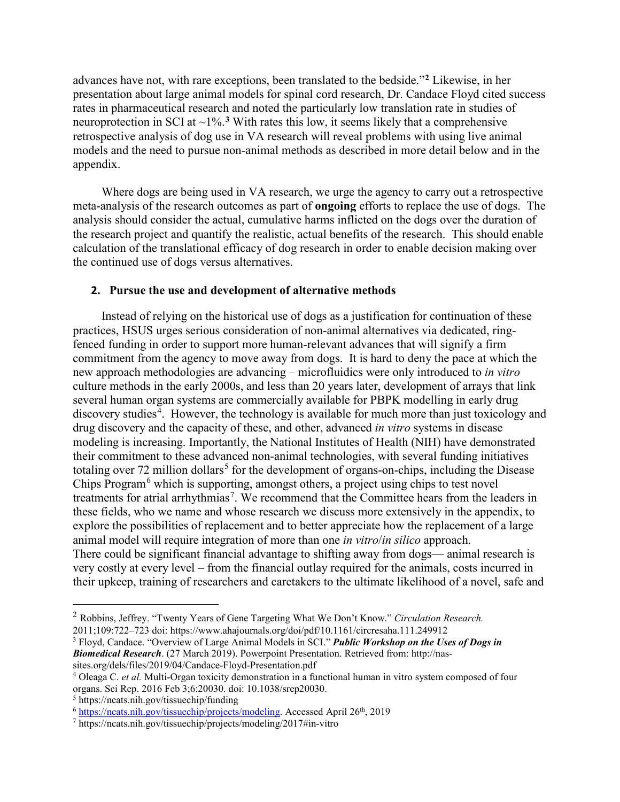advances have not, with rare exceptions, been translated to the bedside."**[2](#page-2-0)** Likewise, in her presentation about large animal models for spinal cord research, Dr. Candace Floyd cited success rates in pharmaceutical research and noted the particularly low translation rate in studies of neuroprotection in SCI at  $\sim$ 1%.<sup>[3](#page-2-1)</sup> With rates this low, it seems likely that a comprehensive retrospective analysis of dog use in VA research will reveal problems with using live animal models and the need to pursue non-animal methods as described in more detail below and in the appendix.

Where dogs are being used in VA research, we urge the agency to carry out a retrospective meta-analysis of the research outcomes as part of **ongoing** efforts to replace the use of dogs. The analysis should consider the actual, cumulative harms inflicted on the dogs over the duration of the research project and quantify the realistic, actual benefits of the research. This should enable calculation of the translational efficacy of dog research in order to enable decision making over the continued use of dogs versus alternatives.

### **2. Pursue the use and development of alternative methods**

Instead of relying on the historical use of dogs as a justification for continuation of these practices, HSUS urges serious consideration of non-animal alternatives via dedicated, ringfenced funding in order to support more human-relevant advances that will signify a firm commitment from the agency to move away from dogs. It is hard to deny the pace at which the new approach methodologies are advancing – microfluidics were only introduced to *in vitro* culture methods in the early 2000s, and less than 20 years later, development of arrays that link several human organ systems are commercially available for PBPK modelling in early drug discovery studies<sup>[4](#page-2-2)</sup>. However, the technology is available for much more than just toxicology and drug discovery and the capacity of these, and other, advanced *in vitro* systems in disease modeling is increasing. Importantly, the National Institutes of Health (NIH) have demonstrated their commitment to these advanced non-animal technologies, with several funding initiatives totaling over 72 million dollars<sup>[5](#page-2-3)</sup> for the development of organs-on-chips, including the Disease Chips Program<sup>[6](#page-2-4)</sup> which is supporting, amongst others, a project using chips to test novel treatments for atrial arrhythmias<sup>[7](#page-2-5)</sup>. We recommend that the Committee hears from the leaders in these fields, who we name and whose research we discuss more extensively in the appendix, to explore the possibilities of replacement and to better appreciate how the replacement of a large animal model will require integration of more than one *in vitro*/*in silico* approach. There could be significant financial advantage to shifting away from dogs— animal research is very costly at every level – from the financial outlay required for the animals, costs incurred in their upkeep, training of researchers and caretakers to the ultimate likelihood of a novel, safe and

<span id="page-2-1"></span><sup>3</sup> Floyd, Candace. "Overview of Large Animal Models in SCI." *Public Workshop on the Uses of Dogs in Biomedical Research*. (27 March 2019). Powerpoint Presentation. Retrieved from: http://nassites.org/dels/files/2019/04/Candace-Floyd-Presentation.pdf

<span id="page-2-0"></span><sup>2</sup> Robbins, Jeffrey. "Twenty Years of Gene Targeting What We Don't Know." *Circulation Research.* 2011;109:722–723 doi: https://www.ahajournals.org/doi/pdf/10.1161/circresaha.111.249912

<span id="page-2-2"></span><sup>4</sup> Oleaga C. *et al.* Multi-Organ toxicity demonstration in a functional human in vitro system composed of four organs. Sci Rep. 2016 Feb 3;6:20030. doi: 10.1038/srep20030.

<span id="page-2-3"></span><sup>5</sup> https://ncats.nih.gov/tissuechip/funding

<span id="page-2-4"></span><sup>&</sup>lt;sup>6</sup> [https://ncats.nih.gov/tissuechip/projects/modeling.](https://ncats.nih.gov/tissuechip/projects/modeling) Accessed April 26<sup>th</sup>, 2019

<span id="page-2-5"></span><sup>7</sup> https://ncats.nih.gov/tissuechip/projects/modeling/2017#in-vitro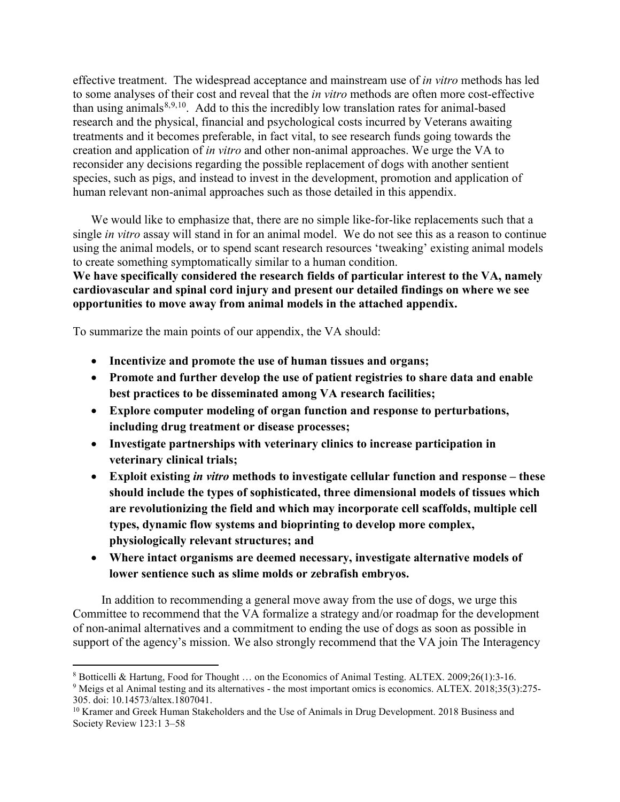effective treatment. The widespread acceptance and mainstream use of *in vitro* methods has led to some analyses of their cost and reveal that the *in vitro* methods are often more cost-effective than using animals $8,9,10$  $8,9,10$  $8,9,10$  $8,9,10$ . Add to this the incredibly low translation rates for animal-based research and the physical, financial and psychological costs incurred by Veterans awaiting treatments and it becomes preferable, in fact vital, to see research funds going towards the creation and application of *in vitro* and other non-animal approaches. We urge the VA to reconsider any decisions regarding the possible replacement of dogs with another sentient species, such as pigs, and instead to invest in the development, promotion and application of human relevant non-animal approaches such as those detailed in this appendix.

We would like to emphasize that, there are no simple like-for-like replacements such that a single *in vitro* assay will stand in for an animal model. We do not see this as a reason to continue using the animal models, or to spend scant research resources 'tweaking' existing animal models to create something symptomatically similar to a human condition.

**We have specifically considered the research fields of particular interest to the VA, namely cardiovascular and spinal cord injury and present our detailed findings on where we see opportunities to move away from animal models in the attached appendix.**

To summarize the main points of our appendix, the VA should:

 $\overline{a}$ 

- **Incentivize and promote the use of human tissues and organs;**
- **Promote and further develop the use of patient registries to share data and enable best practices to be disseminated among VA research facilities;**
- **Explore computer modeling of organ function and response to perturbations, including drug treatment or disease processes;**
- **Investigate partnerships with veterinary clinics to increase participation in veterinary clinical trials;**
- **Exploit existing** *in vitro* **methods to investigate cellular function and response – these should include the types of sophisticated, three dimensional models of tissues which are revolutionizing the field and which may incorporate cell scaffolds, multiple cell types, dynamic flow systems and bioprinting to develop more complex, physiologically relevant structures; and**
- **Where intact organisms are deemed necessary, investigate alternative models of lower sentience such as slime molds or zebrafish embryos.**

In addition to recommending a general move away from the use of dogs, we urge this Committee to recommend that the VA formalize a strategy and/or roadmap for the development of non-animal alternatives and a commitment to ending the use of dogs as soon as possible in support of the agency's mission. We also strongly recommend that the VA join The Interagency

<span id="page-3-0"></span><sup>8</sup> Botticelli & Hartung, Food for Thought … on the Economics of Animal Testing. ALTEX. 2009;26(1):3-16.

<span id="page-3-1"></span><sup>&</sup>lt;sup>9</sup> Meigs et al Animal testing and its alternatives - the most important omics is economics. ALTEX. 2018;35(3):275-305. doi: 10.14573/altex.1807041.

<span id="page-3-2"></span><sup>&</sup>lt;sup>10</sup> Kramer and Greek Human Stakeholders and the Use of Animals in Drug Development. 2018 Business and Society Review 123:1 3–58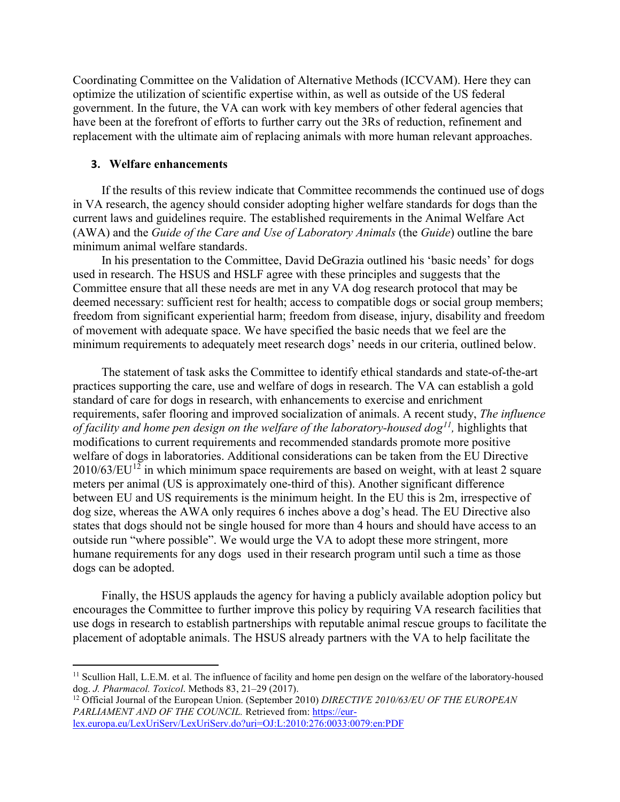Coordinating Committee on the Validation of Alternative Methods (ICCVAM). Here they can optimize the utilization of scientific expertise within, as well as outside of the US federal government. In the future, the VA can work with key members of other federal agencies that have been at the forefront of efforts to further carry out the 3Rs of reduction, refinement and replacement with the ultimate aim of replacing animals with more human relevant approaches.

#### **3. Welfare enhancements**

If the results of this review indicate that Committee recommends the continued use of dogs in VA research, the agency should consider adopting higher welfare standards for dogs than the current laws and guidelines require. The established requirements in the Animal Welfare Act (AWA) and the *Guide of the Care and Use of Laboratory Animals* (the *Guide*) outline the bare minimum animal welfare standards.

In his presentation to the Committee, David DeGrazia outlined his 'basic needs' for dogs used in research. The HSUS and HSLF agree with these principles and suggests that the Committee ensure that all these needs are met in any VA dog research protocol that may be deemed necessary: sufficient rest for health; access to compatible dogs or social group members; freedom from significant experiential harm; freedom from disease, injury, disability and freedom of movement with adequate space. We have specified the basic needs that we feel are the minimum requirements to adequately meet research dogs' needs in our criteria, outlined below.

The statement of task asks the Committee to identify ethical standards and state-of-the-art practices supporting the care, use and welfare of dogs in research. The VA can establish a gold standard of care for dogs in research, with enhancements to exercise and enrichment requirements, safer flooring and improved socialization of animals. A recent study, *The influence of facility and home pen design on the welfare of the laboratory-housed dog[11](#page-4-0),* highlights that modifications to current requirements and recommended standards promote more positive welfare of dogs in laboratories. Additional considerations can be taken from the EU Directive  $2010/63/EU<sup>12</sup>$  $2010/63/EU<sup>12</sup>$  $2010/63/EU<sup>12</sup>$  in which minimum space requirements are based on weight, with at least 2 square meters per animal (US is approximately one-third of this). Another significant difference between EU and US requirements is the minimum height. In the EU this is 2m, irrespective of dog size, whereas the AWA only requires 6 inches above a dog's head. The EU Directive also states that dogs should not be single housed for more than 4 hours and should have access to an outside run "where possible". We would urge the VA to adopt these more stringent, more humane requirements for any dogs used in their research program until such a time as those dogs can be adopted.

Finally, the HSUS applauds the agency for having a publicly available adoption policy but encourages the Committee to further improve this policy by requiring VA research facilities that use dogs in research to establish partnerships with reputable animal rescue groups to facilitate the placement of adoptable animals. The HSUS already partners with the VA to help facilitate the

<span id="page-4-0"></span><sup>&</sup>lt;sup>11</sup> Scullion Hall, L.E.M. et al. The influence of facility and home pen design on the welfare of the laboratory-housed dog. *J. Pharmacol. Toxicol*. Methods 83, 21–29 (2017).

<span id="page-4-1"></span><sup>&</sup>lt;sup>12</sup> Official Journal of the European Union. (September 2010) *DIRECTIVE 2010/63/EU OF THE EUROPEAN* PARLIAMENT AND OF THE COUNCIL. Retrieved from[: https://eur-](https://eur-lex.europa.eu/LexUriServ/LexUriServ.do?uri=OJ:L:2010:276:0033:0079:en:PDF)

[lex.europa.eu/LexUriServ/LexUriServ.do?uri=OJ:L:2010:276:0033:0079:en:PDF](https://eur-lex.europa.eu/LexUriServ/LexUriServ.do?uri=OJ:L:2010:276:0033:0079:en:PDF)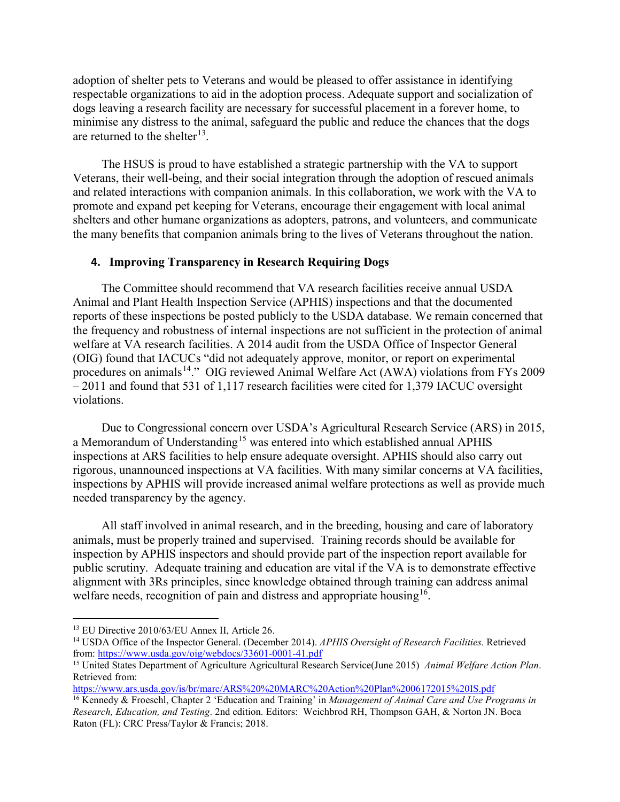adoption of shelter pets to Veterans and would be pleased to offer assistance in identifying respectable organizations to aid in the adoption process. Adequate support and socialization of dogs leaving a research facility are necessary for successful placement in a forever home, to minimise any distress to the animal, safeguard the public and reduce the chances that the dogs are returned to the shelter<sup>[13](#page-5-0)</sup>.

The HSUS is proud to have established a strategic partnership with the VA to support Veterans, their well-being, and their social integration through the adoption of rescued animals and related interactions with companion animals. In this collaboration, we work with the VA to promote and expand pet keeping for Veterans, encourage their engagement with local animal shelters and other humane organizations as adopters, patrons, and volunteers, and communicate the many benefits that companion animals bring to the lives of Veterans throughout the nation.

### **4. Improving Transparency in Research Requiring Dogs**

The Committee should recommend that VA research facilities receive annual USDA Animal and Plant Health Inspection Service (APHIS) inspections and that the documented reports of these inspections be posted publicly to the USDA database. We remain concerned that the frequency and robustness of internal inspections are not sufficient in the protection of animal welfare at VA research facilities. A 2014 audit from the USDA Office of Inspector General (OIG) found that IACUCs "did not adequately approve, monitor, or report on experimental procedures on animals<sup>14</sup>." OIG reviewed Animal Welfare Act (AWA) violations from FYs 2009 – 2011 and found that 531 of 1,117 research facilities were cited for 1,379 IACUC oversight violations.

Due to Congressional concern over USDA's Agricultural Research Service (ARS) in 2015, a Memorandum of Understanding<sup>[15](#page-5-2)</sup> was entered into which established annual APHIS inspections at ARS facilities to help ensure adequate oversight. APHIS should also carry out rigorous, unannounced inspections at VA facilities. With many similar concerns at VA facilities, inspections by APHIS will provide increased animal welfare protections as well as provide much needed transparency by the agency.

All staff involved in animal research, and in the breeding, housing and care of laboratory animals, must be properly trained and supervised. Training records should be available for inspection by APHIS inspectors and should provide part of the inspection report available for public scrutiny. Adequate training and education are vital if the VA is to demonstrate effective alignment with 3Rs principles, since knowledge obtained through training can address animal welfare needs, recognition of pain and distress and appropriate housing<sup>16</sup>.

<span id="page-5-0"></span><sup>13</sup> EU Directive 2010/63/EU Annex II, Article 26.

<span id="page-5-1"></span><sup>14</sup> USDA Office of the Inspector General. (December 2014). *APHIS Oversight of Research Facilities.* Retrieved from[: https://www.usda.gov/oig/webdocs/33601-0001-41.pdf](https://www.usda.gov/oig/webdocs/33601-0001-41.pdf)

<span id="page-5-2"></span><sup>15</sup> United States Department of Agriculture Agricultural Research Service(June 2015) *Animal Welfare Action Plan*. Retrieved from:

<https://www.ars.usda.gov/is/br/marc/ARS%20%20MARC%20Action%20Plan%2006172015%20IS.pdf>

<span id="page-5-3"></span><sup>16</sup> Kennedy & Froeschl, Chapter 2 'Education and Training' in *Management of Animal Care and Use Programs in Research, Education, and Testing*. 2nd edition. Editors: Weichbrod RH, Thompson GAH, & Norton JN. Boca Raton (FL): CRC Press/Taylor & Francis; 2018.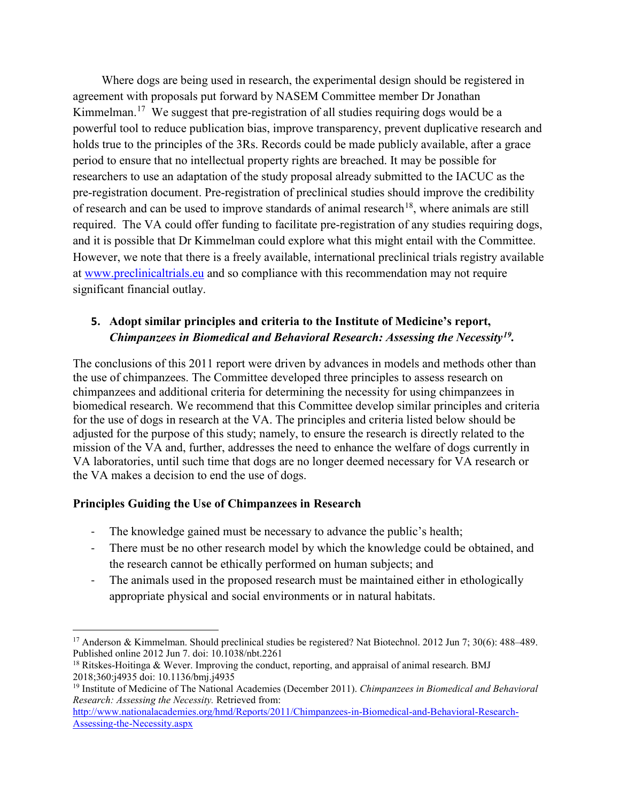Where dogs are being used in research, the experimental design should be registered in agreement with proposals put forward by NASEM Committee member Dr Jonathan Kimmelman.<sup>17</sup> We suggest that pre-registration of all studies requiring dogs would be a powerful tool to reduce publication bias, improve transparency, prevent duplicative research and holds true to the principles of the 3Rs. Records could be made publicly available, after a grace period to ensure that no intellectual property rights are breached. It may be possible for researchers to use an adaptation of the study proposal already submitted to the IACUC as the pre-registration document. Pre-registration of preclinical studies should improve the credibility of research and can be used to improve standards of animal research<sup>[18](#page-6-1)</sup>, where animals are still required. The VA could offer funding to facilitate pre-registration of any studies requiring dogs, and it is possible that Dr Kimmelman could explore what this might entail with the Committee. However, we note that there is a freely available, international preclinical trials registry available at [www.preclinicaltrials.eu](http://www.preclinicaltrials.eu/) and so compliance with this recommendation may not require significant financial outlay.

# **5. Adopt similar principles and criteria to the Institute of Medicine's report,**  *Chimpanzees in Biomedical and Behavioral Research: Assessing the Necessity[19](#page-6-2).*

The conclusions of this 2011 report were driven by advances in models and methods other than the use of chimpanzees. The Committee developed three principles to assess research on chimpanzees and additional criteria for determining the necessity for using chimpanzees in biomedical research. We recommend that this Committee develop similar principles and criteria for the use of dogs in research at the VA. The principles and criteria listed below should be adjusted for the purpose of this study; namely, to ensure the research is directly related to the mission of the VA and, further, addresses the need to enhance the welfare of dogs currently in VA laboratories, until such time that dogs are no longer deemed necessary for VA research or the VA makes a decision to end the use of dogs.

## **Principles Guiding the Use of Chimpanzees in Research**

- The knowledge gained must be necessary to advance the public's health;
- There must be no other research model by which the knowledge could be obtained, and the research cannot be ethically performed on human subjects; and
- The animals used in the proposed research must be maintained either in ethologically appropriate physical and social environments or in natural habitats.

<span id="page-6-0"></span><sup>&</sup>lt;sup>17</sup> Anderson & Kimmelman. Should preclinical studies be registered? Nat Biotechnol. 2012 Jun 7; 30(6): 488–489. Published online 2012 Jun 7. doi: 10.1038/nbt.2261

<span id="page-6-1"></span> $18$  Ritskes-Hoitinga & Wever. Improving the conduct, reporting, and appraisal of animal research. BMJ 2018;360:j4935 doi: 10.1136/bmj.j4935

<span id="page-6-2"></span><sup>19</sup> Institute of Medicine of The National Academies (December 2011). *Chimpanzees in Biomedical and Behavioral Research: Assessing the Necessity.* Retrieved from:

[http://www.nationalacademies.org/hmd/Reports/2011/Chimpanzees-in-Biomedical-and-Behavioral-Research-](http://www.nationalacademies.org/hmd/Reports/2011/Chimpanzees-in-Biomedical-and-Behavioral-Research-Assessing-the-Necessity.aspx)[Assessing-the-Necessity.aspx](http://www.nationalacademies.org/hmd/Reports/2011/Chimpanzees-in-Biomedical-and-Behavioral-Research-Assessing-the-Necessity.aspx)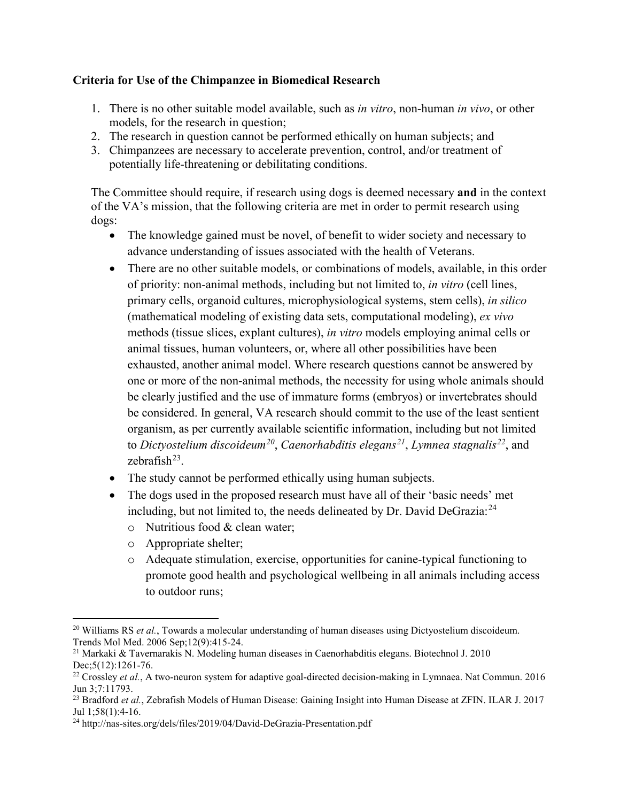## **Criteria for Use of the Chimpanzee in Biomedical Research**

- 1. There is no other suitable model available, such as *in vitro*, non-human *in vivo*, or other models, for the research in question;
- 2. The research in question cannot be performed ethically on human subjects; and
- 3. Chimpanzees are necessary to accelerate prevention, control, and/or treatment of potentially life-threatening or debilitating conditions.

The Committee should require, if research using dogs is deemed necessary **and** in the context of the VA's mission, that the following criteria are met in order to permit research using dogs:

- The knowledge gained must be novel, of benefit to wider society and necessary to advance understanding of issues associated with the health of Veterans.
- There are no other suitable models, or combinations of models, available, in this order of priority: non-animal methods, including but not limited to, *in vitro* (cell lines, primary cells, organoid cultures, microphysiological systems, stem cells), *in silico* (mathematical modeling of existing data sets, computational modeling), *ex vivo* methods (tissue slices, explant cultures), *in vitro* models employing animal cells or animal tissues, human volunteers, or, where all other possibilities have been exhausted, another animal model. Where research questions cannot be answered by one or more of the non-animal methods, the necessity for using whole animals should be clearly justified and the use of immature forms (embryos) or invertebrates should be considered. In general, VA research should commit to the use of the least sentient organism, as per currently available scientific information, including but not limited to *Dictyostelium discoideum[20](#page-7-0)*, *Caenorhabditis elegans[21](#page-7-1)*, *Lymnea stagnalis[22](#page-7-2)*, and zebrafish $^{23}$ .
- The study cannot be performed ethically using human subjects.
- The dogs used in the proposed research must have all of their 'basic needs' met including, but not limited to, the needs delineated by Dr. David DeGrazia:<sup>[24](#page-7-4)</sup>
	- o Nutritious food & clean water;
	- o Appropriate shelter;
	- o Adequate stimulation, exercise, opportunities for canine-typical functioning to promote good health and psychological wellbeing in all animals including access to outdoor runs;

<span id="page-7-0"></span> $\overline{a}$ <sup>20</sup> Williams RS *et al.*, Towards a molecular understanding of human diseases using Dictyostelium discoideum. Trends Mol Med. 2006 Sep;12(9):415-24.

<span id="page-7-1"></span><sup>&</sup>lt;sup>21</sup> Markaki & Tavernarakis N. Modeling human diseases in Caenorhabditis elegans. Biotechnol J. 2010<br>Dec:5(12):1261-76.

<span id="page-7-2"></span> $22$  Crossley *et al.*, A two-neuron system for adaptive goal-directed decision-making in Lymnaea. Nat Commun. 2016 Jun 3;7:11793.

<span id="page-7-3"></span><sup>&</sup>lt;sup>23</sup> Bradford *et al.*, Zebrafish Models of Human Disease: Gaining Insight into Human Disease at ZFIN. ILAR J. 2017 Jul 1;58(1):4-16.

<span id="page-7-4"></span><sup>24</sup> http://nas-sites.org/dels/files/2019/04/David-DeGrazia-Presentation.pdf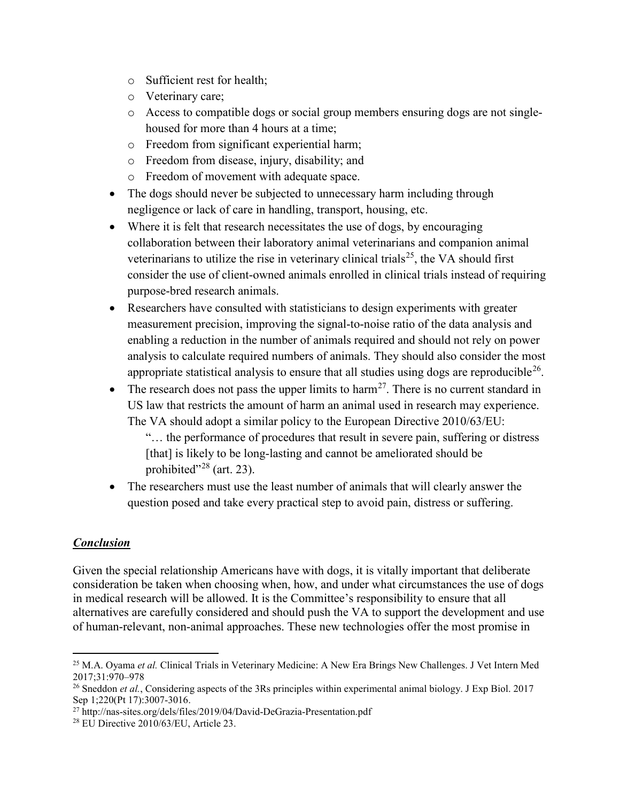- o Sufficient rest for health;
- o Veterinary care;
- o Access to compatible dogs or social group members ensuring dogs are not singlehoused for more than 4 hours at a time;
- o Freedom from significant experiential harm;
- o Freedom from disease, injury, disability; and
- o Freedom of movement with adequate space.
- The dogs should never be subjected to unnecessary harm including through negligence or lack of care in handling, transport, housing, etc.
- Where it is felt that research necessitates the use of dogs, by encouraging collaboration between their laboratory animal veterinarians and companion animal veterinarians to utilize the rise in veterinary clinical trials<sup>[25](#page-8-0)</sup>, the VA should first consider the use of client-owned animals enrolled in clinical trials instead of requiring purpose-bred research animals.
- Researchers have consulted with statisticians to design experiments with greater measurement precision, improving the signal-to-noise ratio of the data analysis and enabling a reduction in the number of animals required and should not rely on power analysis to calculate required numbers of animals. They should also consider the most appropriate statistical analysis to ensure that all studies using dogs are reproducible<sup>[26](#page-8-1)</sup>.
- The research does not pass the upper limits to harm<sup>27</sup>. There is no current standard in US law that restricts the amount of harm an animal used in research may experience. The VA should adopt a similar policy to the European Directive 2010/63/EU:

"… the performance of procedures that result in severe pain, suffering or distress [that] is likely to be long-lasting and cannot be ameliorated should be prohibited"<sup>[28](#page-8-3)</sup> (art. 23).

• The researchers must use the least number of animals that will clearly answer the question posed and take every practical step to avoid pain, distress or suffering.

## *Conclusion*

Given the special relationship Americans have with dogs, it is vitally important that deliberate consideration be taken when choosing when, how, and under what circumstances the use of dogs in medical research will be allowed. It is the Committee's responsibility to ensure that all alternatives are carefully considered and should push the VA to support the development and use of human-relevant, non-animal approaches. These new technologies offer the most promise in

<span id="page-8-0"></span> $\overline{a}$ <sup>25</sup> M.A. Oyama *et al.* Clinical Trials in Veterinary Medicine: A New Era Brings New Challenges. J Vet Intern Med 2017;31:970–978

<span id="page-8-1"></span><sup>&</sup>lt;sup>26</sup> Sneddon *et al.*, Considering aspects of the 3Rs principles within experimental animal biology. J Exp Biol. 2017 Sep 1;220(Pt 17):3007-3016.

<span id="page-8-2"></span><sup>27</sup> http://nas-sites.org/dels/files/2019/04/David-DeGrazia-Presentation.pdf

<span id="page-8-3"></span><sup>28</sup> EU Directive 2010/63/EU, Article 23.